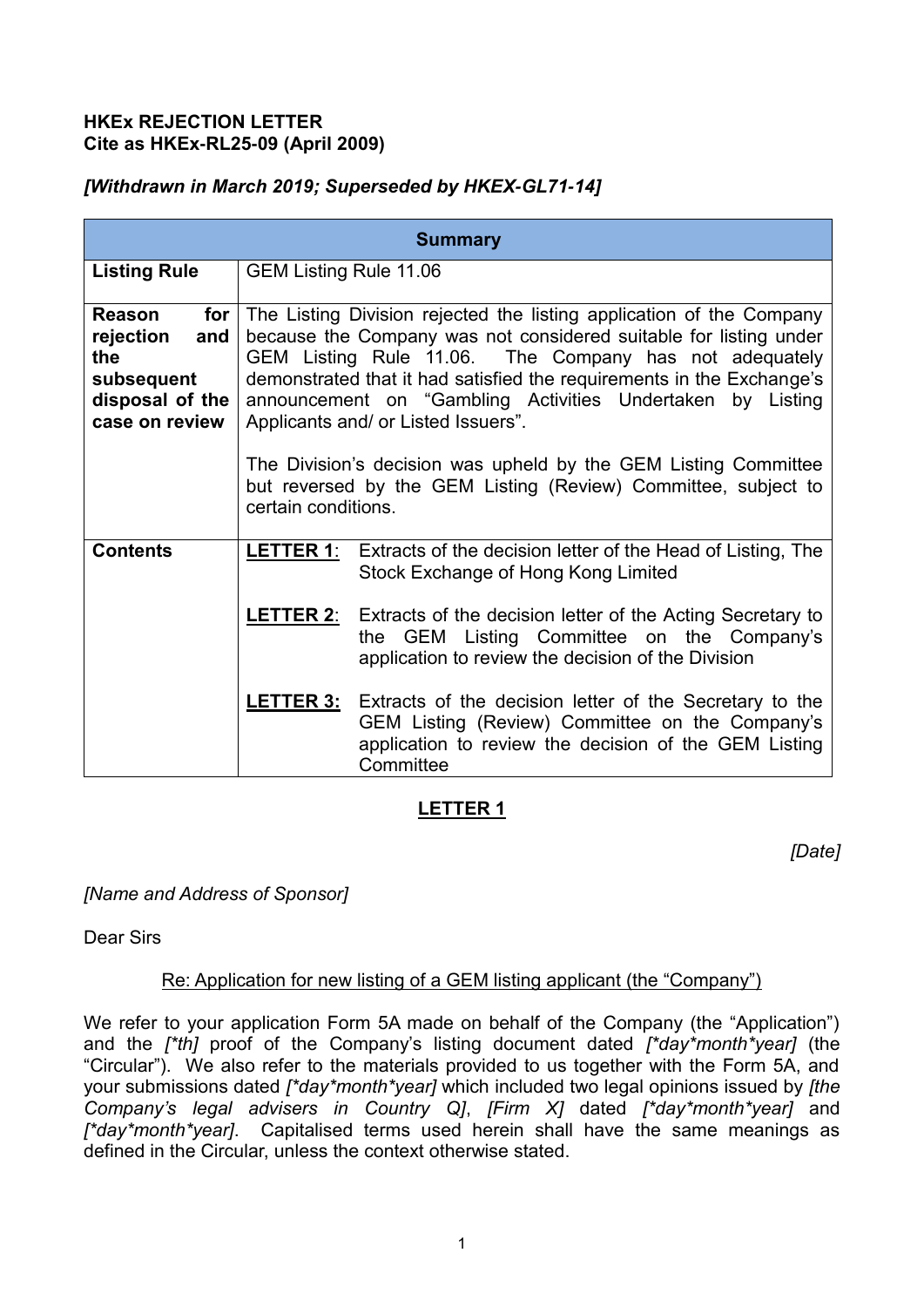### **HKEx REJECTION LETTER Cite as HKEx-RL25-09 (April 2009)**

## *[Withdrawn in March 2019; Superseded by HKEX-GL71-14]*

| <b>Summary</b>                                                                                     |                                                                                                                                                                                                                                                                                                                                                                                   |                                                                                                                                                                                                   |
|----------------------------------------------------------------------------------------------------|-----------------------------------------------------------------------------------------------------------------------------------------------------------------------------------------------------------------------------------------------------------------------------------------------------------------------------------------------------------------------------------|---------------------------------------------------------------------------------------------------------------------------------------------------------------------------------------------------|
| <b>Listing Rule</b>                                                                                | GEM Listing Rule 11.06                                                                                                                                                                                                                                                                                                                                                            |                                                                                                                                                                                                   |
| <b>Reason</b><br>for<br>rejection<br>and<br>the<br>subsequent<br>disposal of the<br>case on review | The Listing Division rejected the listing application of the Company<br>because the Company was not considered suitable for listing under<br>GEM Listing Rule 11.06. The Company has not adequately<br>demonstrated that it had satisfied the requirements in the Exchange's<br>announcement on "Gambling Activities Undertaken by Listing<br>Applicants and/ or Listed Issuers". |                                                                                                                                                                                                   |
|                                                                                                    | The Division's decision was upheld by the GEM Listing Committee<br>but reversed by the GEM Listing (Review) Committee, subject to<br>certain conditions.                                                                                                                                                                                                                          |                                                                                                                                                                                                   |
| <b>Contents</b>                                                                                    |                                                                                                                                                                                                                                                                                                                                                                                   | <b>LETTER 1:</b> Extracts of the decision letter of the Head of Listing, The<br>Stock Exchange of Hong Kong Limited                                                                               |
|                                                                                                    |                                                                                                                                                                                                                                                                                                                                                                                   | <b>LETTER 2:</b> Extracts of the decision letter of the Acting Secretary to<br>the GEM Listing Committee on the Company's<br>application to review the decision of the Division                   |
|                                                                                                    |                                                                                                                                                                                                                                                                                                                                                                                   | <b>LETTER 3:</b> Extracts of the decision letter of the Secretary to the<br>GEM Listing (Review) Committee on the Company's<br>application to review the decision of the GEM Listing<br>Committee |

# **LETTER 1**

*[Date]*

## *[Name and Address of Sponsor]*

Dear Sirs

## Re: Application for new listing of a GEM listing applicant (the "Company")

We refer to your application Form 5A made on behalf of the Company (the "Application") and the *[\*th]* proof of the Company's listing document dated *[\*day\*month\*year]* (the "Circular"). We also refer to the materials provided to us together with the Form 5A, and your submissions dated *[\*day\*month\*year]* which included two legal opinions issued by *[the Company's legal advisers in Country Q]*, *[Firm X]* dated *[\*day\*month\*year]* and *[\*day\*month\*year]*. Capitalised terms used herein shall have the same meanings as defined in the Circular, unless the context otherwise stated.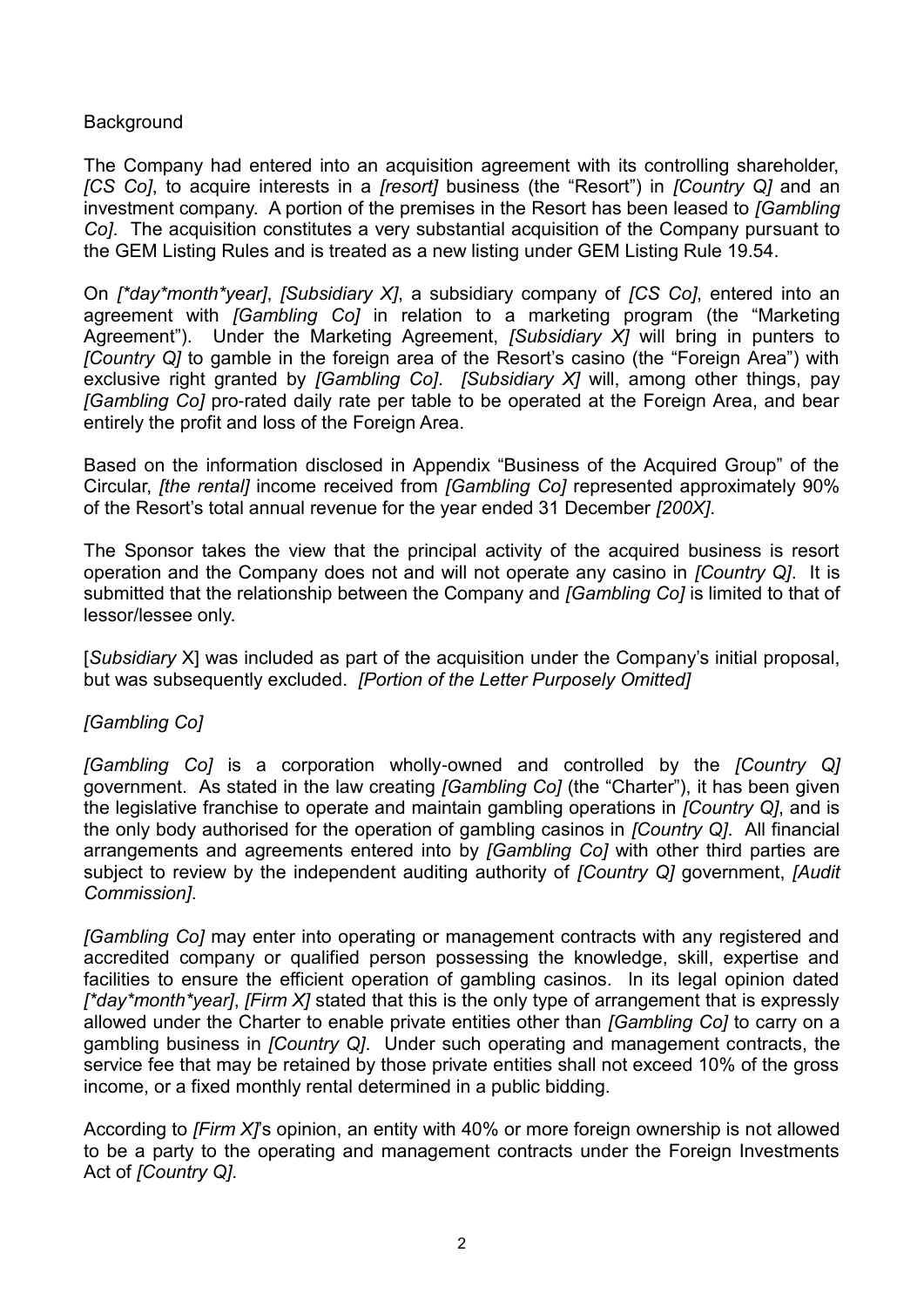### **Background**

The Company had entered into an acquisition agreement with its controlling shareholder, *[CS Co]*, to acquire interests in a *[resort]* business (the "Resort") in *[Country Q]* and an investment company. A portion of the premises in the Resort has been leased to *[Gambling Co]*. The acquisition constitutes a very substantial acquisition of the Company pursuant to the GEM Listing Rules and is treated as a new listing under GEM Listing Rule 19.54.

On *[\*day\*month\*year]*, *[Subsidiary X]*, a subsidiary company of *[CS Co]*, entered into an agreement with *[Gambling Co]* in relation to a marketing program (the "Marketing Agreement"). Under the Marketing Agreement, *[Subsidiary X]* will bring in punters to *[Country Q]* to gamble in the foreign area of the Resort's casino (the "Foreign Area") with exclusive right granted by *[Gambling Co]*. *[Subsidiary X]* will, among other things, pay *[Gambling Co]* pro-rated daily rate per table to be operated at the Foreign Area, and bear entirely the profit and loss of the Foreign Area.

Based on the information disclosed in Appendix "Business of the Acquired Group" of the Circular, *[the rental]* income received from *[Gambling Co]* represented approximately 90% of the Resort's total annual revenue for the year ended 31 December *[200X]*.

The Sponsor takes the view that the principal activity of the acquired business is resort operation and the Company does not and will not operate any casino in *[Country Q]*. It is submitted that the relationship between the Company and *[Gambling Co]* is limited to that of lessor/lessee only.

[*Subsidiary* X] was included as part of the acquisition under the Company's initial proposal, but was subsequently excluded. *[Portion of the Letter Purposely Omitted]* 

#### *[Gambling Co]*

*[Gambling Co]* is a corporation wholly-owned and controlled by the *[Country Q]*  government. As stated in the law creating *[Gambling Co]* (the "Charter"), it has been given the legislative franchise to operate and maintain gambling operations in *[Country Q]*, and is the only body authorised for the operation of gambling casinos in *[Country Q]*. All financial arrangements and agreements entered into by *[Gambling Co]* with other third parties are subject to review by the independent auditing authority of *[Country Q]* government, *[Audit Commission]*.

*[Gambling Co]* may enter into operating or management contracts with any registered and accredited company or qualified person possessing the knowledge, skill, expertise and facilities to ensure the efficient operation of gambling casinos. In its legal opinion dated *[\*day\*month\*year]*, *[Firm X]* stated that this is the only type of arrangement that is expressly allowed under the Charter to enable private entities other than *[Gambling Co]* to carry on a gambling business in *[Country Q]*. Under such operating and management contracts, the service fee that may be retained by those private entities shall not exceed 10% of the gross income, or a fixed monthly rental determined in a public bidding.

According to *[Firm X]*'s opinion, an entity with 40% or more foreign ownership is not allowed to be a party to the operating and management contracts under the Foreign Investments Act of *[Country Q]*.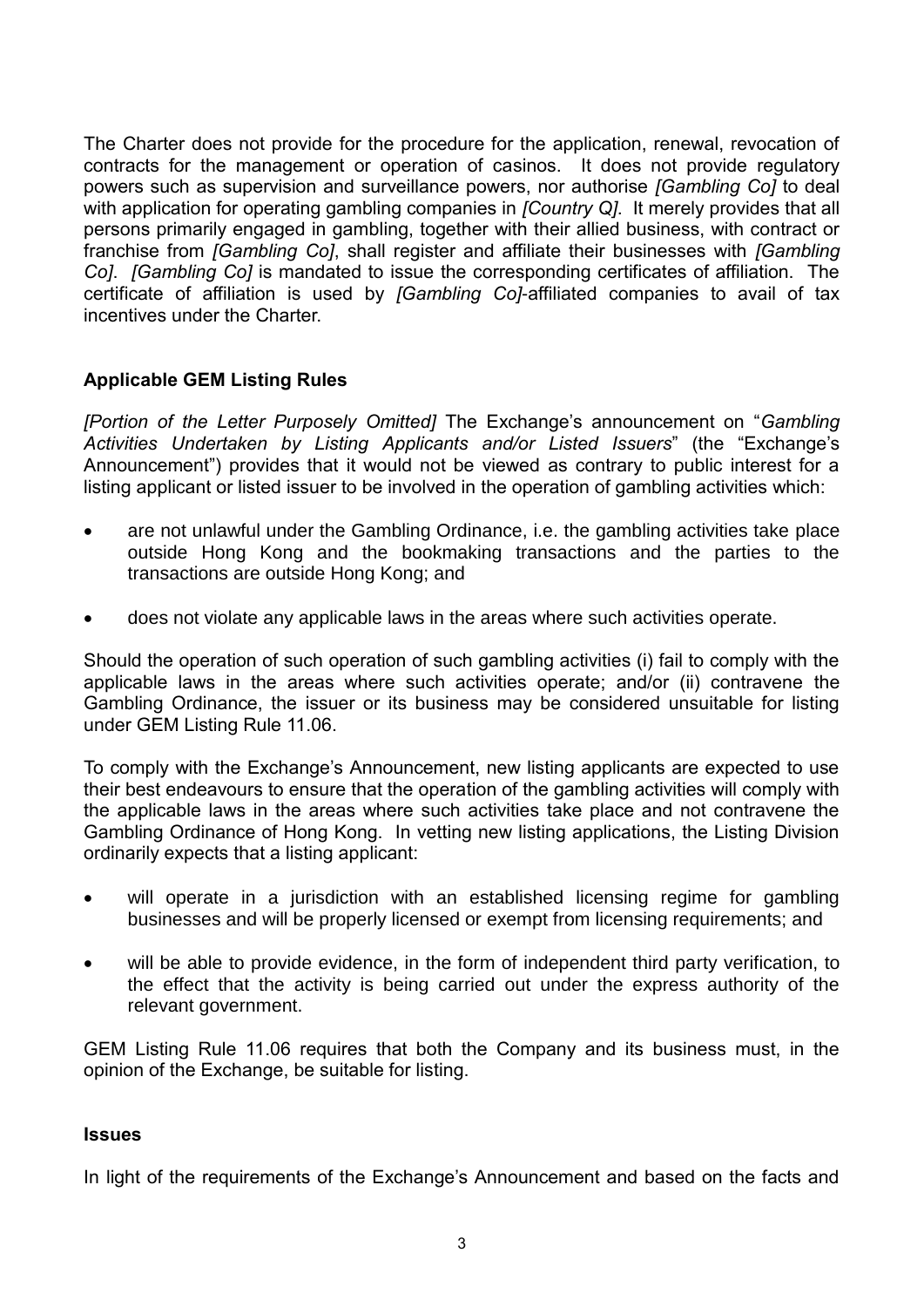The Charter does not provide for the procedure for the application, renewal, revocation of contracts for the management or operation of casinos. It does not provide regulatory powers such as supervision and surveillance powers, nor authorise *[Gambling Co]* to deal with application for operating gambling companies in *[Country Q]*. It merely provides that all persons primarily engaged in gambling, together with their allied business, with contract or franchise from *[Gambling Co]*, shall register and affiliate their businesses with *[Gambling Co]*. *[Gambling Co]* is mandated to issue the corresponding certificates of affiliation. The certificate of affiliation is used by *[Gambling Co]*-affiliated companies to avail of tax incentives under the Charter.

## **Applicable GEM Listing Rules**

*[Portion of the Letter Purposely Omitted]* The Exchange's announcement on "*Gambling Activities Undertaken by Listing Applicants and/or Listed Issuers*" (the "Exchange's Announcement") provides that it would not be viewed as contrary to public interest for a listing applicant or listed issuer to be involved in the operation of gambling activities which:

- are not unlawful under the Gambling Ordinance, i.e. the gambling activities take place outside Hong Kong and the bookmaking transactions and the parties to the transactions are outside Hong Kong; and
- does not violate any applicable laws in the areas where such activities operate.

Should the operation of such operation of such gambling activities (i) fail to comply with the applicable laws in the areas where such activities operate; and/or (ii) contravene the Gambling Ordinance, the issuer or its business may be considered unsuitable for listing under GEM Listing Rule 11.06.

To comply with the Exchange's Announcement, new listing applicants are expected to use their best endeavours to ensure that the operation of the gambling activities will comply with the applicable laws in the areas where such activities take place and not contravene the Gambling Ordinance of Hong Kong. In vetting new listing applications, the Listing Division ordinarily expects that a listing applicant:

- will operate in a jurisdiction with an established licensing regime for gambling businesses and will be properly licensed or exempt from licensing requirements; and
- will be able to provide evidence, in the form of independent third party verification, to the effect that the activity is being carried out under the express authority of the relevant government.

GEM Listing Rule 11.06 requires that both the Company and its business must, in the opinion of the Exchange, be suitable for listing.

#### **Issues**

In light of the requirements of the Exchange's Announcement and based on the facts and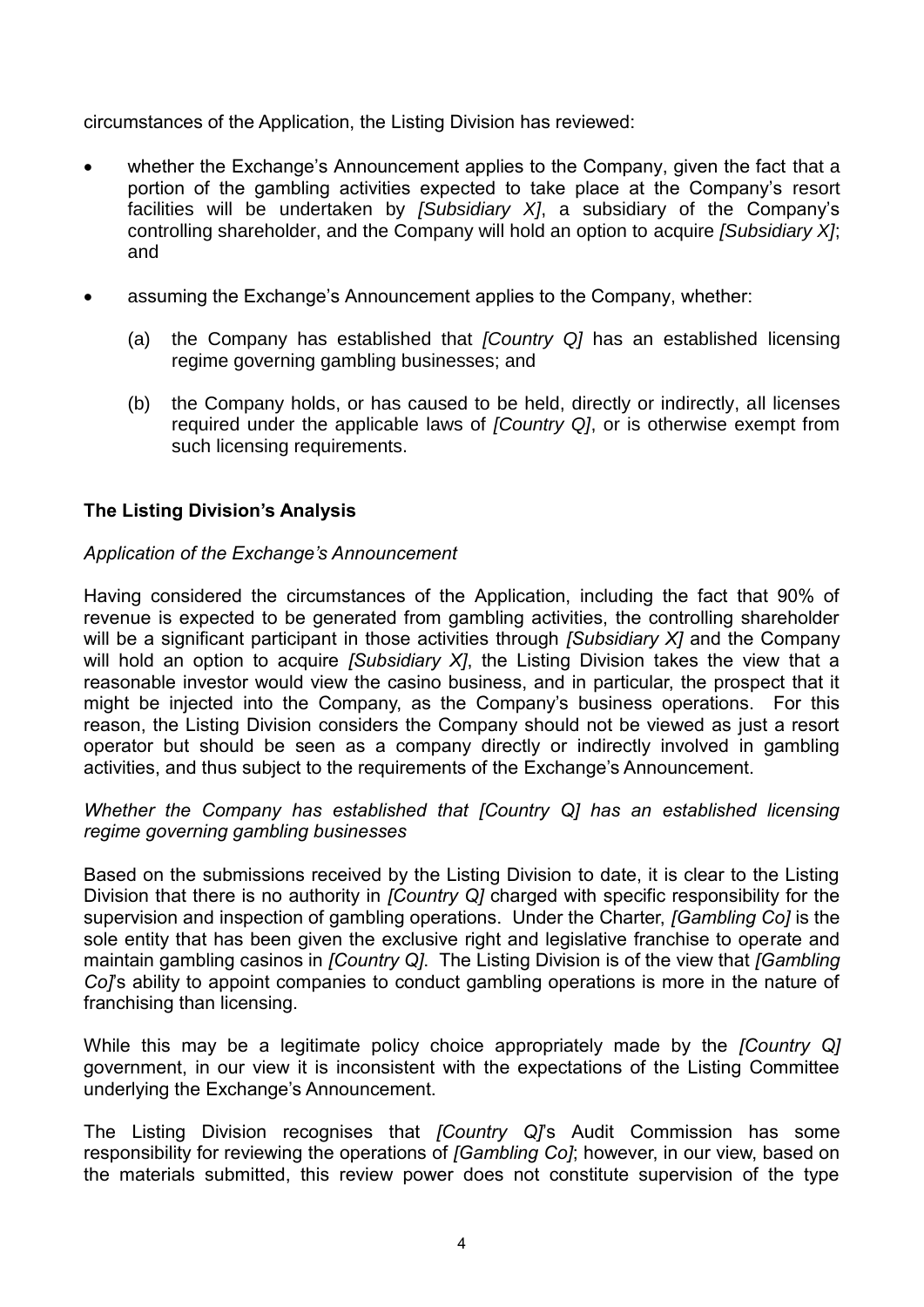circumstances of the Application, the Listing Division has reviewed:

- whether the Exchange's Announcement applies to the Company, given the fact that a portion of the gambling activities expected to take place at the Company's resort facilities will be undertaken by *[Subsidiary X]*, a subsidiary of the Company's controlling shareholder, and the Company will hold an option to acquire *[Subsidiary X]*; and
- assuming the Exchange's Announcement applies to the Company, whether:
	- (a) the Company has established that *[Country Q]* has an established licensing regime governing gambling businesses; and
	- (b) the Company holds, or has caused to be held, directly or indirectly, all licenses required under the applicable laws of *[Country Q]*, or is otherwise exempt from such licensing requirements.

## **The Listing Division's Analysis**

### *Application of the Exchange's Announcement*

Having considered the circumstances of the Application, including the fact that 90% of revenue is expected to be generated from gambling activities, the controlling shareholder will be a significant participant in those activities through *[Subsidiary X]* and the Company will hold an option to acquire *[Subsidiary X]*, the Listing Division takes the view that a reasonable investor would view the casino business, and in particular, the prospect that it might be injected into the Company, as the Company's business operations. For this reason, the Listing Division considers the Company should not be viewed as just a resort operator but should be seen as a company directly or indirectly involved in gambling activities, and thus subject to the requirements of the Exchange's Announcement.

#### *Whether the Company has established that [Country Q] has an established licensing regime governing gambling businesses*

Based on the submissions received by the Listing Division to date, it is clear to the Listing Division that there is no authority in *[Country Q]* charged with specific responsibility for the supervision and inspection of gambling operations. Under the Charter, *[Gambling Co]* is the sole entity that has been given the exclusive right and legislative franchise to operate and maintain gambling casinos in *[Country Q]*. The Listing Division is of the view that *[Gambling Co]*'s ability to appoint companies to conduct gambling operations is more in the nature of franchising than licensing.

While this may be a legitimate policy choice appropriately made by the *[Country Q]*  government, in our view it is inconsistent with the expectations of the Listing Committee underlying the Exchange's Announcement.

The Listing Division recognises that *[Country Q]*'s Audit Commission has some responsibility for reviewing the operations of *[Gambling Co]*; however, in our view, based on the materials submitted, this review power does not constitute supervision of the type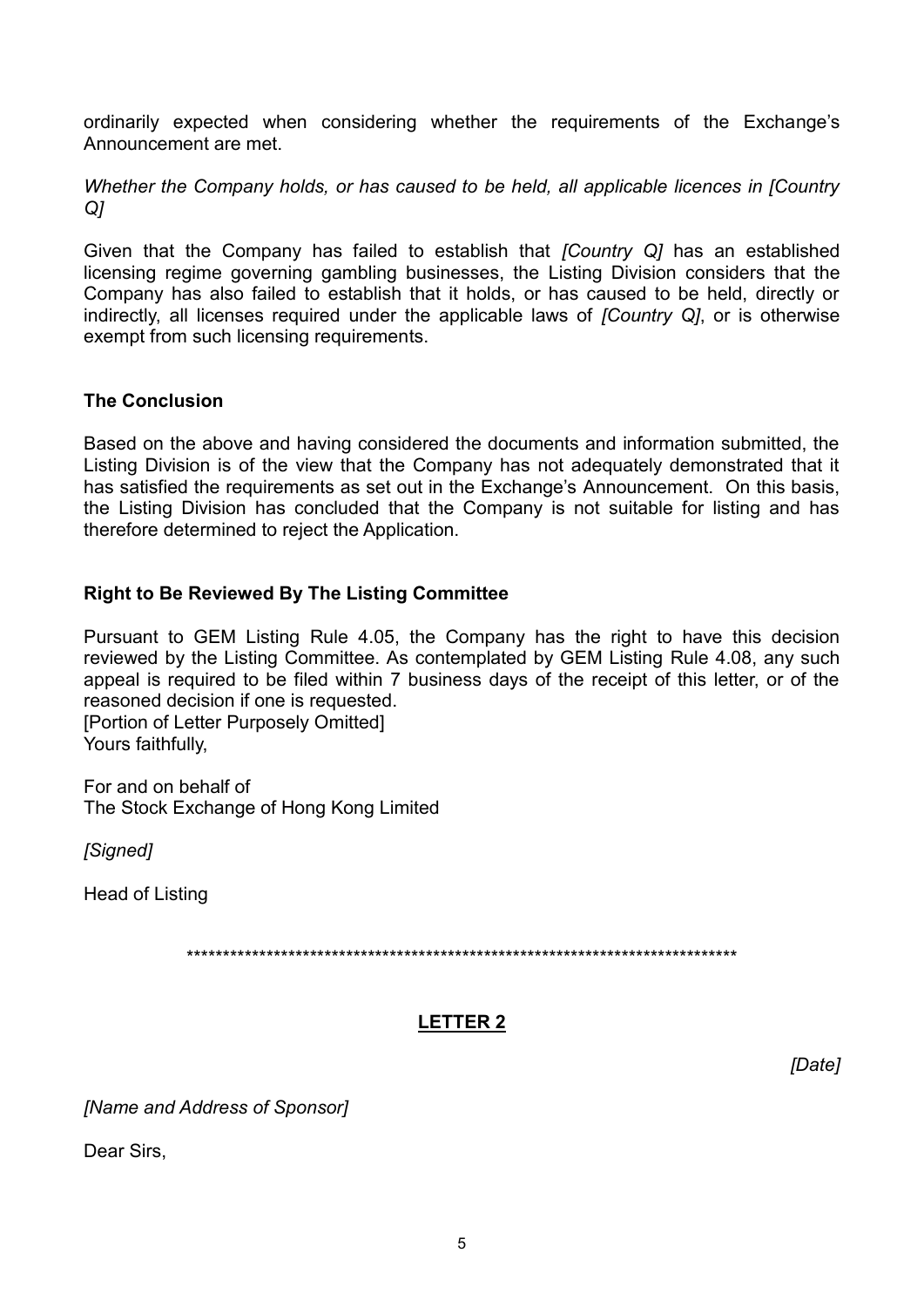ordinarily expected when considering whether the requirements of the Exchange's Announcement are met.

*Whether the Company holds, or has caused to be held, all applicable licences in [Country Q]*

Given that the Company has failed to establish that *[Country Q]* has an established licensing regime governing gambling businesses, the Listing Division considers that the Company has also failed to establish that it holds, or has caused to be held, directly or indirectly, all licenses required under the applicable laws of *[Country Q]*, or is otherwise exempt from such licensing requirements.

### **The Conclusion**

Based on the above and having considered the documents and information submitted, the Listing Division is of the view that the Company has not adequately demonstrated that it has satisfied the requirements as set out in the Exchange's Announcement. On this basis, the Listing Division has concluded that the Company is not suitable for listing and has therefore determined to reject the Application.

### **Right to Be Reviewed By The Listing Committee**

Pursuant to GEM Listing [Rule 4.05,](http://en-rules.hkex.com.hk/en/display/display.html?rbid=4476&element_id=206) the Company has the right to have this decision reviewed by the Listing Committee. As contemplated by GEM Listing [Rule 4.08,](http://en-rules.hkex.com.hk/en/display/display.html?rbid=4476&element_id=212) any such appeal is required to be filed within 7 business days of the receipt of this letter, or of the reasoned decision if one is requested.

[Portion of Letter Purposely Omitted] Yours faithfully,

For and on behalf of The Stock Exchange of Hong Kong Limited

*[Signed]*

Head of Listing

\*\*\*\*\*\*\*\*\*\*\*\*\*\*\*\*\*\*\*\*\*\*\*\*\*\*\*\*\*\*\*\*\*\*\*\*\*\*\*\*\*\*\*\*\*\*\*\*\*\*\*\*\*\*\*\*\*\*\*\*\*\*\*\*\*\*\*\*\*\*\*\*\*\*\*\*

## **LETTER 2**

*[Date]*

*[Name and Address of Sponsor]*

Dear Sirs,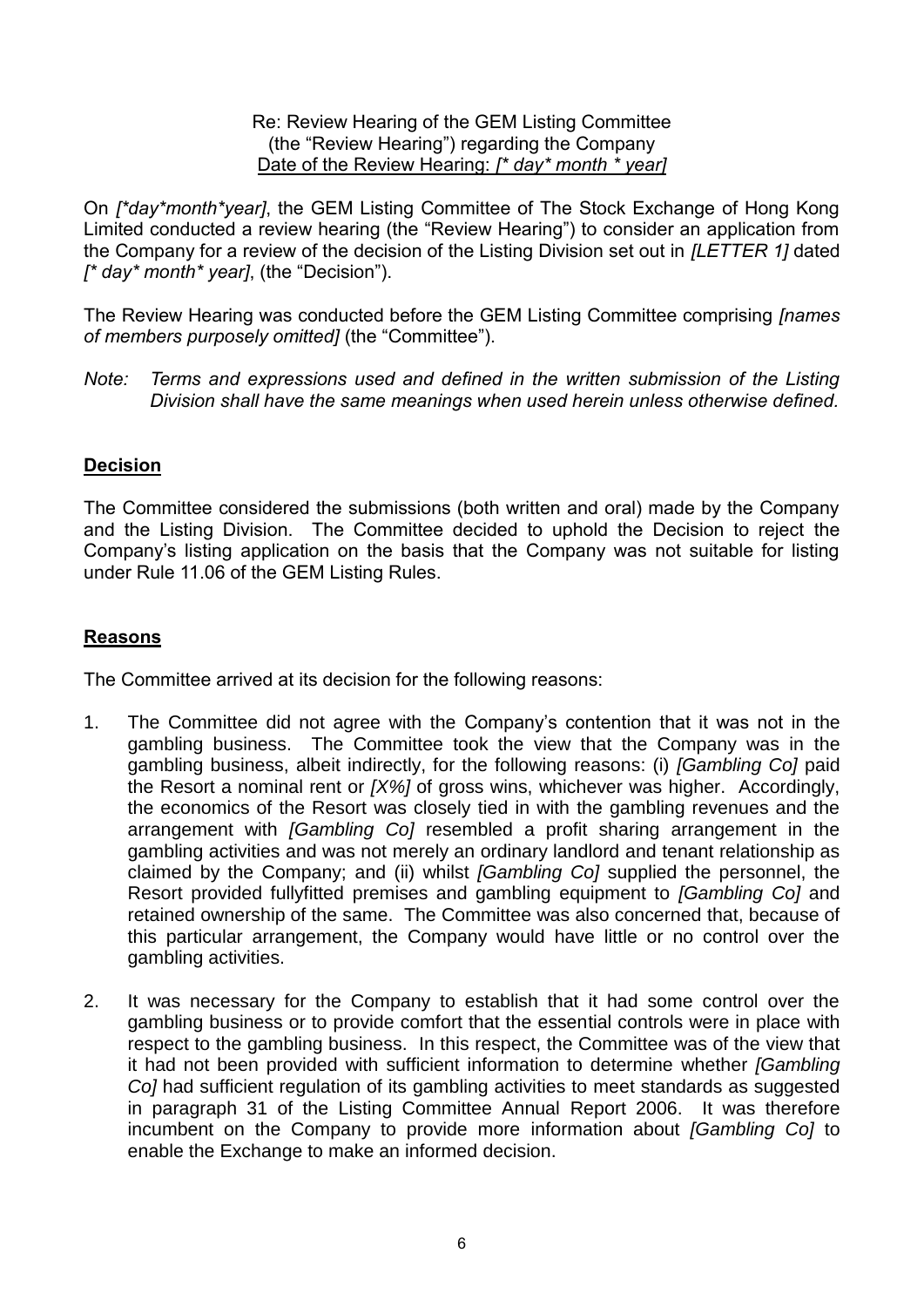#### Re: Review Hearing of the GEM Listing Committee (the "Review Hearing") regarding the Company Date of the Review Hearing: *[\* day\* month \* year]*

On *[\*day\*month\*year]*, the GEM Listing Committee of The Stock Exchange of Hong Kong Limited conducted a review hearing (the "Review Hearing") to consider an application from the Company for a review of the decision of the Listing Division set out in *[LETTER 1]* dated *[\* day\* month\* year]*, (the "Decision").

The Review Hearing was conducted before the GEM Listing Committee comprising *[names of members purposely omitted]* (the "Committee").

*Note: Terms and expressions used and defined in the written submission of the Listing Division shall have the same meanings when used herein unless otherwise defined.*

## **Decision**

The Committee considered the submissions (both written and oral) made by the Company and the Listing Division. The Committee decided to uphold the Decision to reject the Company's listing application on the basis that the Company was not suitable for listing under Rule 11.06 of the GEM Listing Rules.

### **Reasons**

The Committee arrived at its decision for the following reasons:

- 1. The Committee did not agree with the Company's contention that it was not in the gambling business. The Committee took the view that the Company was in the gambling business, albeit indirectly, for the following reasons: (i) *[Gambling Co]* paid the Resort a nominal rent or *[X%]* of gross wins, whichever was higher. Accordingly, the economics of the Resort was closely tied in with the gambling revenues and the arrangement with *[Gambling Co]* resembled a profit sharing arrangement in the gambling activities and was not merely an ordinary landlord and tenant relationship as claimed by the Company; and (ii) whilst *[Gambling Co]* supplied the personnel, the Resort provided fullyfitted premises and gambling equipment to *[Gambling Co]* and retained ownership of the same. The Committee was also concerned that, because of this particular arrangement, the Company would have little or no control over the gambling activities.
- 2. It was necessary for the Company to establish that it had some control over the gambling business or to provide comfort that the essential controls were in place with respect to the gambling business. In this respect, the Committee was of the view that it had not been provided with sufficient information to determine whether *[Gambling Co]* had sufficient regulation of its gambling activities to meet standards as suggested in paragraph 31 of the Listing Committee Annual Report 2006. It was therefore incumbent on the Company to provide more information about *[Gambling Co]* to enable the Exchange to make an informed decision.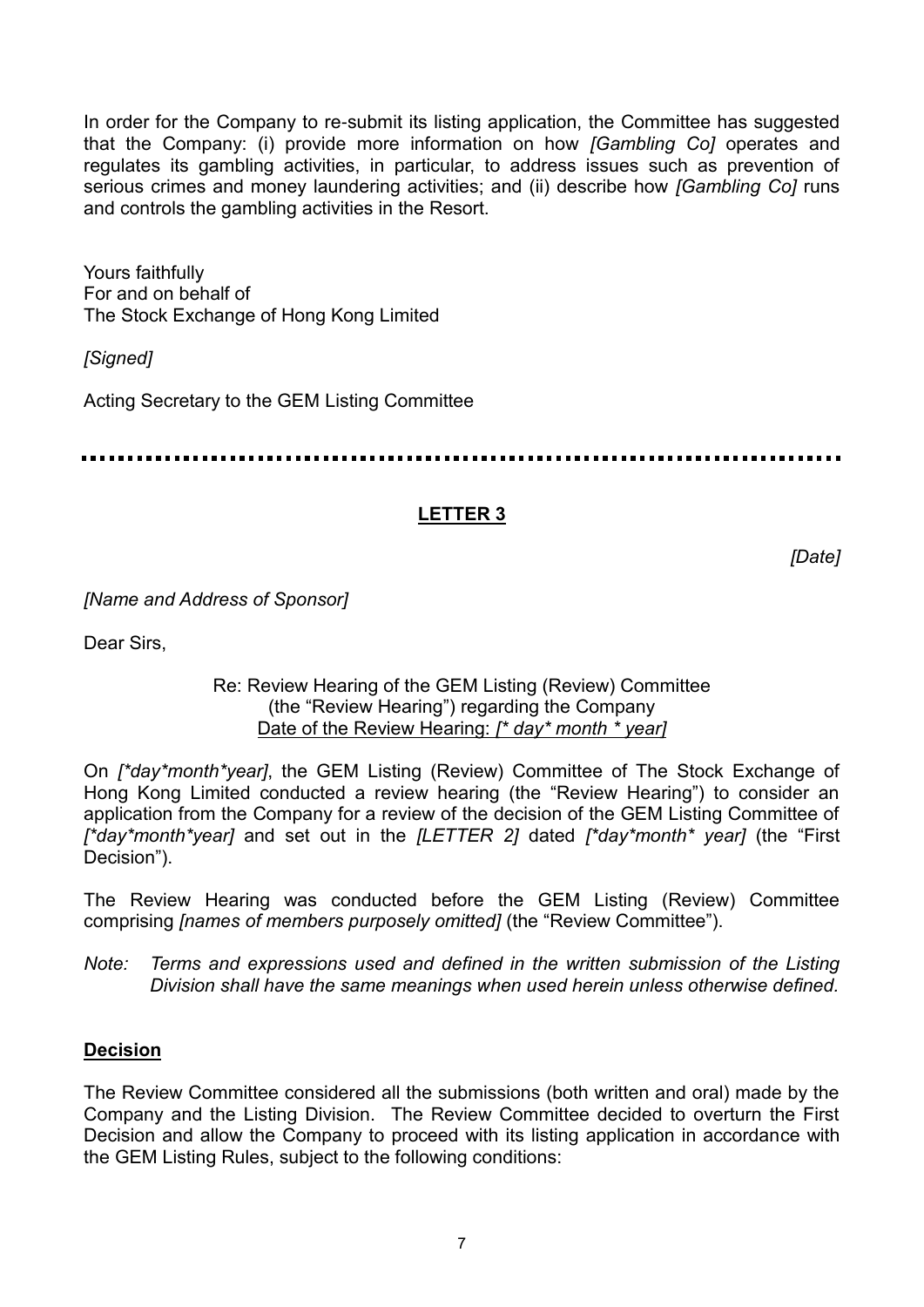In order for the Company to re-submit its listing application, the Committee has suggested that the Company: (i) provide more information on how *[Gambling Co]* operates and regulates its gambling activities, in particular, to address issues such as prevention of serious crimes and money laundering activities; and (ii) describe how *[Gambling Co]* runs and controls the gambling activities in the Resort.

Yours faithfully For and on behalf of The Stock Exchange of Hong Kong Limited

*[Signed]*

Acting Secretary to the GEM Listing Committee

. . . . . . . . . . .

# **LETTER 3**

*[Date]*

*[Name and Address of Sponsor]*

Dear Sirs,

### Re: Review Hearing of the GEM Listing (Review) Committee (the "Review Hearing") regarding the Company Date of the Review Hearing: *[\* day\* month \* year]*

On *[\*day\*month\*year]*, the GEM Listing (Review) Committee of The Stock Exchange of Hong Kong Limited conducted a review hearing (the "Review Hearing") to consider an application from the Company for a review of the decision of the GEM Listing Committee of *[\*day\*month\*year]* and set out in the *[LETTER 2]* dated *[\*day\*month\* year]* (the "First Decision").

The Review Hearing was conducted before the GEM Listing (Review) Committee comprising *[names of members purposely omitted]* (the "Review Committee").

*Note: Terms and expressions used and defined in the written submission of the Listing Division shall have the same meanings when used herein unless otherwise defined.*

## **Decision**

The Review Committee considered all the submissions (both written and oral) made by the Company and the Listing Division. The Review Committee decided to overturn the First Decision and allow the Company to proceed with its listing application in accordance with the GEM Listing Rules, subject to the following conditions: